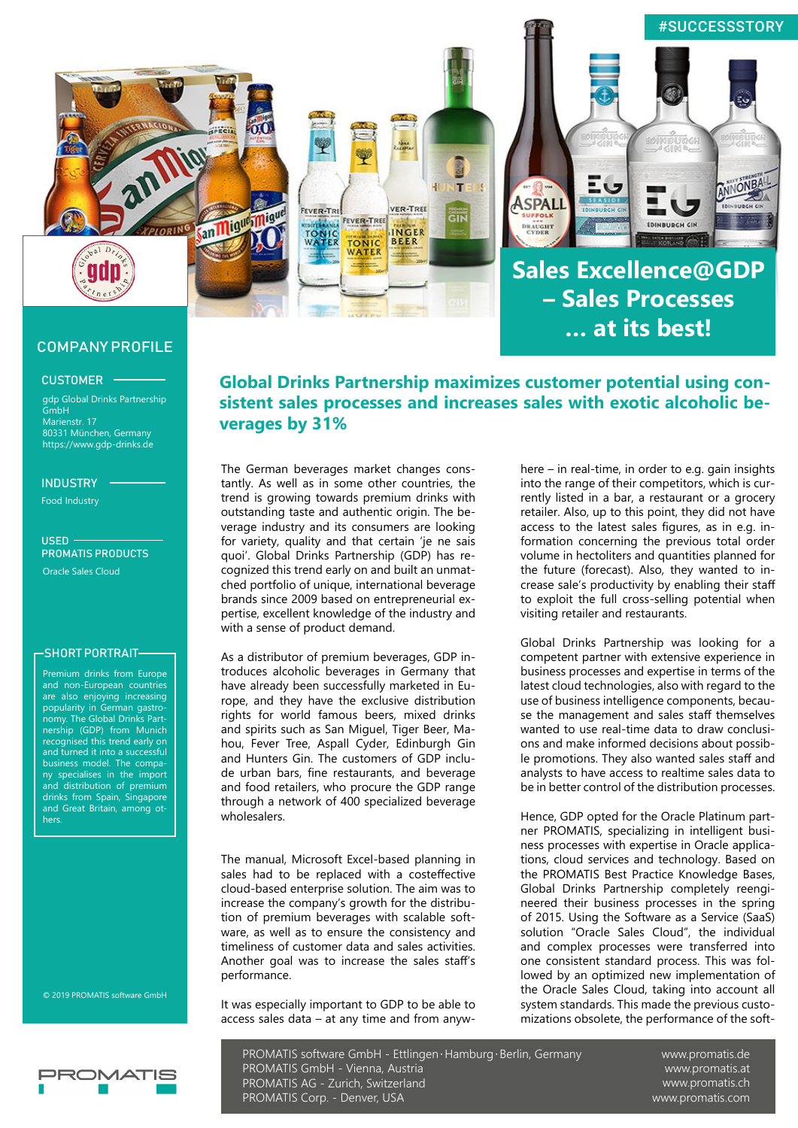

## COMPANY PROFILE

### CUSTOMER

gdp Global Drinks Partnership **GmbH** Marienstr. 17 80331 München, Germany https://www.gdp-drinks.de

#### INDUSTRY

Food Industry

 $U$ SED $\cdot$ PROMATIS PRODUCTS Oracle Sales Cloud

#### -SHORT PORTRAIT-

Premium drinks from Europe and non-European countries are also enjoying increasing popularity in German gastronomy. The Global Drinks Partnership (GDP) from Munich recognised this trend early on and turned it into a successful business model. The company specialises in the import and distribution of premium drinks from Spain, Singapore and Great Britain, among others.

© 2019 PROMATIS software GmbH

# **Global Drinks Partnership maximizes customer potential using consistent sales processes and increases sales with exotic alcoholic beverages by 31%**

The German beverages market changes constantly. As well as in some other countries, the trend is growing towards premium drinks with outstanding taste and authentic origin. The beverage industry and its consumers are looking for variety, quality and that certain 'je ne sais quoi'. Global Drinks Partnership (GDP) has recognized this trend early on and built an unmatched portfolio of unique, international beverage brands since 2009 based on entrepreneurial expertise, excellent knowledge of the industry and with a sense of product demand.

As a distributor of premium beverages, GDP introduces alcoholic beverages in Germany that have already been successfully marketed in Europe, and they have the exclusive distribution rights for world famous beers, mixed drinks and spirits such as San Miguel, Tiger Beer, Mahou, Fever Tree, Aspall Cyder, Edinburgh Gin and Hunters Gin. The customers of GDP include urban bars, fine restaurants, and beverage and food retailers, who procure the GDP range through a network of 400 specialized beverage wholesalers.

The manual, Microsoft Excel-based planning in sales had to be replaced with a costeffective cloud-based enterprise solution. The aim was to increase the company's growth for the distribution of premium beverages with scalable software, as well as to ensure the consistency and timeliness of customer data and sales activities. Another goal was to increase the sales staff's performance.

It was especially important to GDP to be able to access sales data – at any time and from anyw-

here – in real-time, in order to e.g. gain insights into the range of their competitors, which is currently listed in a bar, a restaurant or a grocery retailer. Also, up to this point, they did not have access to the latest sales figures, as in e.g. information concerning the previous total order volume in hectoliters and quantities planned for the future (forecast). Also, they wanted to increase sale's productivity by enabling their staff to exploit the full cross-selling potential when visiting retailer and restaurants.

Global Drinks Partnership was looking for a competent partner with extensive experience in business processes and expertise in terms of the latest cloud technologies, also with regard to the use of business intelligence components, because the management and sales staff themselves wanted to use real-time data to draw conclusions and make informed decisions about possible promotions. They also wanted sales staff and analysts to have access to realtime sales data to be in better control of the distribution processes.

Hence, GDP opted for the Oracle Platinum partner PROMATIS, specializing in intelligent business processes with expertise in Oracle applications, cloud services and technology. Based on the PROMATIS Best Practice Knowledge Bases, Global Drinks Partnership completely reengineered their business processes in the spring of 2015. Using the Software as a Service (SaaS) solution "Oracle Sales Cloud", the individual and complex processes were transferred into one consistent standard process. This was followed by an optimized new implementation of the Oracle Sales Cloud, taking into account all system standards. This made the previous customizations obsolete, the performance of the soft-

PROMATIS software GmbH - Ettlingen∙Hamburg∙Berlin, Germany PROMATIS GmbH - Vienna, Austria PROMATIS AG - Zurich, Switzerland PROMATIS Corp. - Denver, USA

www.promatis.de www.promatis.at www.promatis.ch www.promatis.com